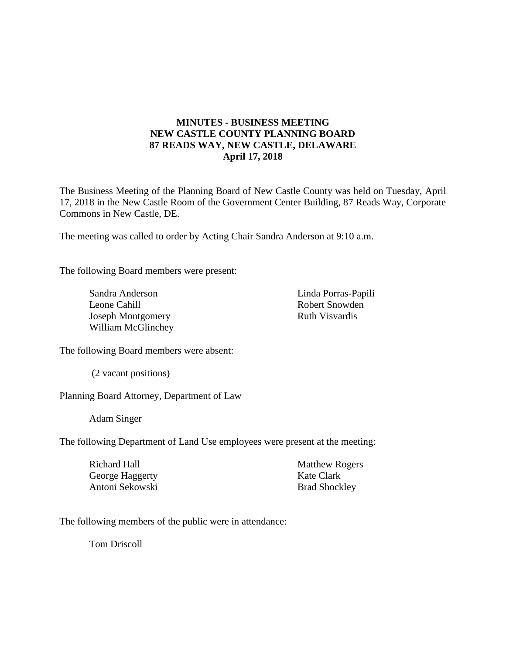# **MINUTES - BUSINESS MEETING NEW CASTLE COUNTY PLANNING BOARD 87 READS WAY, NEW CASTLE, DELAWARE April 17, 2018**

The Business Meeting of the Planning Board of New Castle County was held on Tuesday, April 17, 2018 in the New Castle Room of the Government Center Building, 87 Reads Way, Corporate Commons in New Castle, DE.

The meeting was called to order by Acting Chair Sandra Anderson at 9:10 a.m.

The following Board members were present:

Sandra Anderson Leone Cahill Joseph Montgomery William McGlinchey Linda Porras-Papili Robert Snowden Ruth Visvardis

The following Board members were absent:

(2 vacant positions)

Planning Board Attorney, Department of Law

Adam Singer

The following Department of Land Use employees were present at the meeting:

| Richard Hall    | <b>Matthew Rogers</b> |
|-----------------|-----------------------|
| George Haggerty | Kate Clark            |
| Antoni Sekowski | <b>Brad Shockley</b>  |

The following members of the public were in attendance:

Tom Driscoll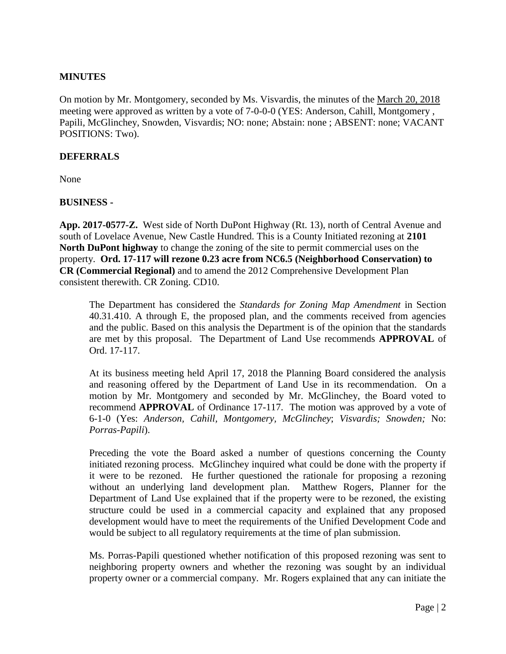## **MINUTES**

On motion by Mr. Montgomery, seconded by Ms. Visvardis, the minutes of the March 20, 2018 meeting were approved as written by a vote of 7-0-0-0 (YES: Anderson, Cahill, Montgomery , Papili, McGlinchey, Snowden, Visvardis; NO: none; Abstain: none ; ABSENT: none; VACANT POSITIONS: Two).

#### **DEFERRALS**

None

#### **BUSINESS -**

**App. 2017-0577-Z.** West side of North DuPont Highway (Rt. 13), north of Central Avenue and south of Lovelace Avenue, New Castle Hundred. This is a County Initiated rezoning at **2101 North DuPont highway** to change the zoning of the site to permit commercial uses on the property. **Ord. 17-117 will rezone 0.23 acre from NC6.5 (Neighborhood Conservation) to CR (Commercial Regional)** and to amend the 2012 Comprehensive Development Plan consistent therewith. CR Zoning. CD10.

The Department has considered the *Standards for Zoning Map Amendment* in Section 40.31.410. A through E, the proposed plan, and the comments received from agencies and the public. Based on this analysis the Department is of the opinion that the standards are met by this proposal. The Department of Land Use recommends **APPROVAL** of Ord. 17-117.

At its business meeting held April 17, 2018 the Planning Board considered the analysis and reasoning offered by the Department of Land Use in its recommendation. On a motion by Mr. Montgomery and seconded by Mr. McGlinchey, the Board voted to recommend **APPROVAL** of Ordinance 17-117. The motion was approved by a vote of 6-1-0 (Yes: *Anderson, Cahill, Montgomery, McGlinchey*; *Visvardis; Snowden;* No: *Porras-Papili*).

Preceding the vote the Board asked a number of questions concerning the County initiated rezoning process. McGlinchey inquired what could be done with the property if it were to be rezoned. He further questioned the rationale for proposing a rezoning without an underlying land development plan. Matthew Rogers, Planner for the Department of Land Use explained that if the property were to be rezoned, the existing structure could be used in a commercial capacity and explained that any proposed development would have to meet the requirements of the Unified Development Code and would be subject to all regulatory requirements at the time of plan submission.

Ms. Porras-Papili questioned whether notification of this proposed rezoning was sent to neighboring property owners and whether the rezoning was sought by an individual property owner or a commercial company. Mr. Rogers explained that any can initiate the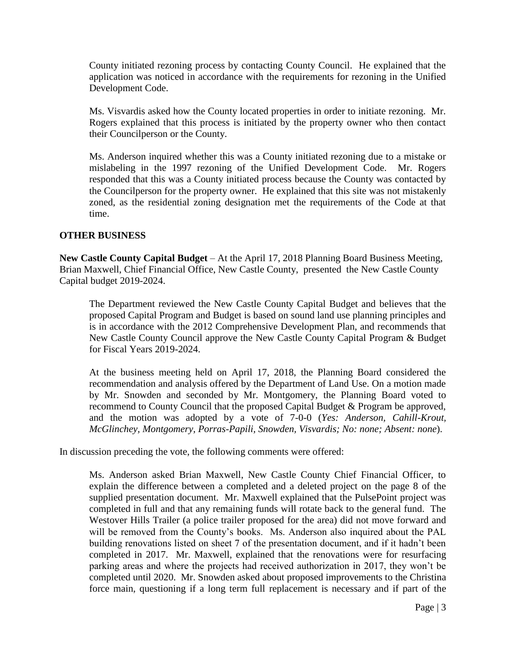County initiated rezoning process by contacting County Council. He explained that the application was noticed in accordance with the requirements for rezoning in the Unified Development Code.

Ms. Visvardis asked how the County located properties in order to initiate rezoning. Mr. Rogers explained that this process is initiated by the property owner who then contact their Councilperson or the County.

Ms. Anderson inquired whether this was a County initiated rezoning due to a mistake or mislabeling in the 1997 rezoning of the Unified Development Code. Mr. Rogers responded that this was a County initiated process because the County was contacted by the Councilperson for the property owner. He explained that this site was not mistakenly zoned, as the residential zoning designation met the requirements of the Code at that time.

## **OTHER BUSINESS**

**New Castle County Capital Budget** – At the April 17, 2018 Planning Board Business Meeting, Brian Maxwell, Chief Financial Office, New Castle County, presented the New Castle County Capital budget 2019-2024.

The Department reviewed the New Castle County Capital Budget and believes that the proposed Capital Program and Budget is based on sound land use planning principles and is in accordance with the 2012 Comprehensive Development Plan, and recommends that New Castle County Council approve the New Castle County Capital Program & Budget for Fiscal Years 2019-2024.

At the business meeting held on April 17, 2018, the Planning Board considered the recommendation and analysis offered by the Department of Land Use. On a motion made by Mr. Snowden and seconded by Mr. Montgomery, the Planning Board voted to recommend to County Council that the proposed Capital Budget & Program be approved, and the motion was adopted by a vote of 7-0-0 (*Yes: Anderson, Cahill-Krout, McGlinchey, Montgomery, Porras-Papili, Snowden, Visvardis; No: none; Absent: none*).

In discussion preceding the vote, the following comments were offered:

Ms. Anderson asked Brian Maxwell, New Castle County Chief Financial Officer, to explain the difference between a completed and a deleted project on the page 8 of the supplied presentation document. Mr. Maxwell explained that the PulsePoint project was completed in full and that any remaining funds will rotate back to the general fund. The Westover Hills Trailer (a police trailer proposed for the area) did not move forward and will be removed from the County's books. Ms. Anderson also inquired about the PAL building renovations listed on sheet 7 of the presentation document, and if it hadn't been completed in 2017. Mr. Maxwell, explained that the renovations were for resurfacing parking areas and where the projects had received authorization in 2017, they won't be completed until 2020. Mr. Snowden asked about proposed improvements to the Christina force main, questioning if a long term full replacement is necessary and if part of the